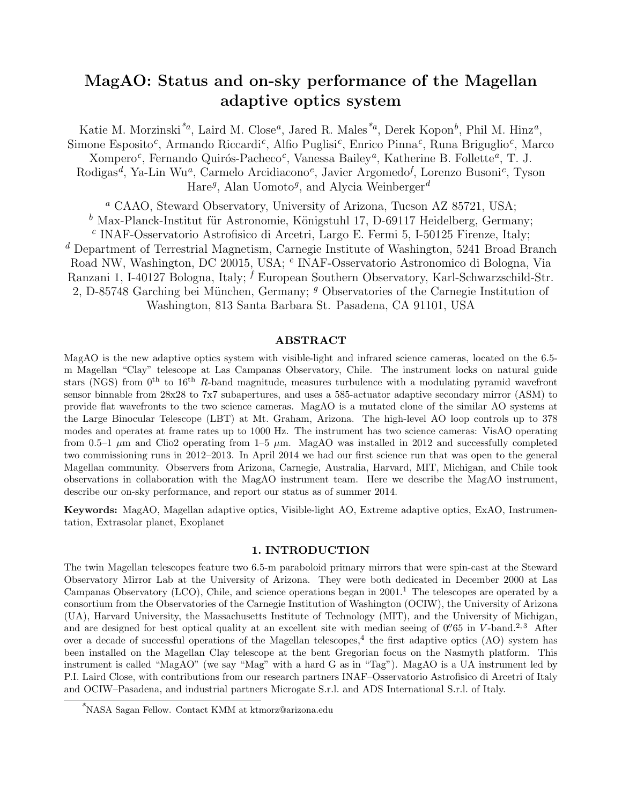# MagAO: Status and on-sky performance of the Magellan adaptive optics system

Katie M. Morzinski<sup>\*a</sup>, Laird M. Close<sup>a</sup>, Jared R. Males<sup>\*a</sup>, Derek Kopon<sup>b</sup>, Phil M. Hinz<sup>a</sup>, Simone Esposito<sup>c</sup>, Armando Riccardi<sup>c</sup>, Alfio Puglisi<sup>c</sup>, Enrico Pinna<sup>c</sup>, Runa Briguglio<sup>c</sup>, Marco Xompero<sup>c</sup>, Fernando Quirós-Pacheco<sup>c</sup>, Vanessa Bailey<sup>a</sup>, Katherine B. Follette<sup>a</sup>, T. J. Rodigas<sup>d</sup>, Ya-Lin Wu<sup>a</sup>, Carmelo Arcidiacono<sup>e</sup>, Javier Argomedo<sup>f</sup>, Lorenzo Busoni<sup>c</sup>, Tyson Hare<sup>g</sup>, Alan Uomoto<sup>g</sup>, and Alycia Weinberger<sup>d</sup>

<sup>a</sup> CAAO, Steward Observatory, University of Arizona, Tucson AZ 85721, USA;

 $<sup>b</sup>$  Max-Planck-Institut für Astronomie, Königstuhl 17, D-69117 Heidelberg, Germany;</sup> c INAF-Osservatorio Astrofisico di Arcetri, Largo E. Fermi 5, I-50125 Firenze, Italy; <sup>d</sup> Department of Terrestrial Magnetism, Carnegie Institute of Washington, 5241 Broad Branch Road NW, Washington, DC 20015, USA; <sup>e</sup> INAF-Osservatorio Astronomico di Bologna, Via Ranzani 1, I-40127 Bologna, Italy; <sup>f</sup> European Southern Observatory, Karl-Schwarzschild-Str. 2, D-85748 Garching bei München, Germany;  $<sup>g</sup>$  Observatories of the Carnegie Institution of</sup> Washington, 813 Santa Barbara St. Pasadena, CA 91101, USA

# ABSTRACT

MagAO is the new adaptive optics system with visible-light and infrared science cameras, located on the 6.5 m Magellan "Clay" telescope at Las Campanas Observatory, Chile. The instrument locks on natural guide stars (NGS) from  $0^{th}$  to  $16^{th}$  R-band magnitude, measures turbulence with a modulating pyramid wavefront sensor binnable from 28x28 to 7x7 subapertures, and uses a 585-actuator adaptive secondary mirror (ASM) to provide flat wavefronts to the two science cameras. MagAO is a mutated clone of the similar AO systems at the Large Binocular Telescope (LBT) at Mt. Graham, Arizona. The high-level AO loop controls up to 378 modes and operates at frame rates up to 1000 Hz. The instrument has two science cameras: VisAO operating from 0.5–1  $\mu$ m and Clio2 operating from 1–5  $\mu$ m. MagAO was installed in 2012 and successfully completed two commissioning runs in 2012–2013. In April 2014 we had our first science run that was open to the general Magellan community. Observers from Arizona, Carnegie, Australia, Harvard, MIT, Michigan, and Chile took observations in collaboration with the MagAO instrument team. Here we describe the MagAO instrument, describe our on-sky performance, and report our status as of summer 2014.

Keywords: MagAO, Magellan adaptive optics, Visible-light AO, Extreme adaptive optics, ExAO, Instrumentation, Extrasolar planet, Exoplanet

# 1. INTRODUCTION

The twin Magellan telescopes feature two 6.5-m paraboloid primary mirrors that were spin-cast at the Steward Observatory Mirror Lab at the University of Arizona. They were both dedicated in December 2000 at Las Campanas Observatory (LCO), Chile, and science operations began in  $2001$ .<sup>1</sup> The telescopes are operated by a consortium from the Observatories of the Carnegie Institution of Washington (OCIW), the University of Arizona (UA), Harvard University, the Massachusetts Institute of Technology (MIT), and the University of Michigan, and are designed for best optical quality at an excellent site with median seeing of  $0\rlap{.}^{\prime\prime}65$  in V-band.<sup>2,3</sup> After over a decade of successful operations of the Magellan telescopes,<sup>4</sup> the first adaptive optics (AO) system has been installed on the Magellan Clay telescope at the bent Gregorian focus on the Nasmyth platform. This instrument is called "MagAO" (we say "Mag" with a hard G as in "Tag"). MagAO is a UA instrument led by P.I. Laird Close, with contributions from our research partners INAF–Osservatorio Astrofisico di Arcetri of Italy and OCIW–Pasadena, and industrial partners Microgate S.r.l. and ADS International S.r.l. of Italy.

<sup>\*</sup>NASA Sagan Fellow. Contact KMM at ktmorz@arizona.edu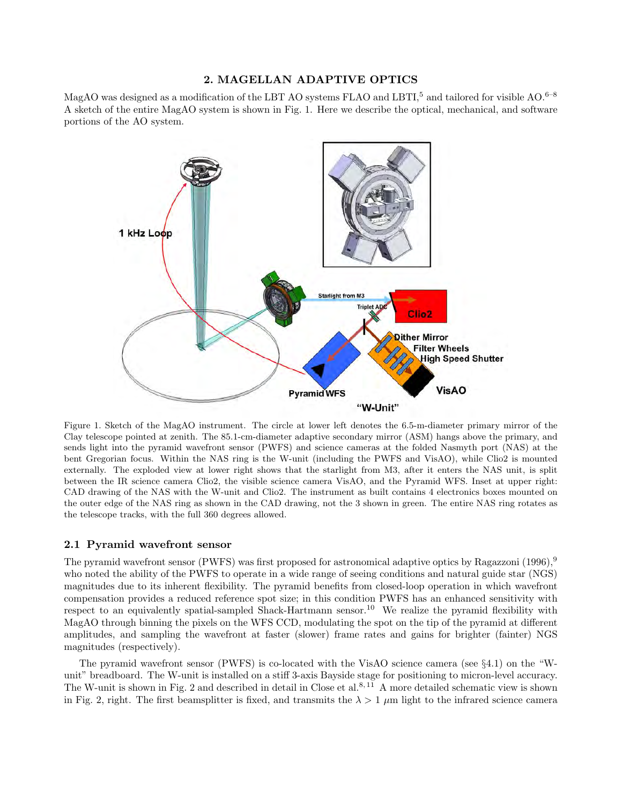# 2. MAGELLAN ADAPTIVE OPTICS

MagAO was designed as a modification of the LBT AO systems FLAO and LBTI,<sup>5</sup> and tailored for visible AO.<sup>6–8</sup> A sketch of the entire MagAO system is shown in Fig. 1. Here we describe the optical, mechanical, and software portions of the AO system.



Figure 1. Sketch of the MagAO instrument. The circle at lower left denotes the 6.5-m-diameter primary mirror of the Clay telescope pointed at zenith. The 85.1-cm-diameter adaptive secondary mirror (ASM) hangs above the primary, and sends light into the pyramid wavefront sensor (PWFS) and science cameras at the folded Nasmyth port (NAS) at the bent Gregorian focus. Within the NAS ring is the W-unit (including the PWFS and VisAO), while Clio2 is mounted externally. The exploded view at lower right shows that the starlight from M3, after it enters the NAS unit, is split between the IR science camera Clio2, the visible science camera VisAO, and the Pyramid WFS. Inset at upper right: CAD drawing of the NAS with the W-unit and Clio2. The instrument as built contains 4 electronics boxes mounted on the outer edge of the NAS ring as shown in the CAD drawing, not the 3 shown in green. The entire NAS ring rotates as the telescope tracks, with the full 360 degrees allowed.

### 2.1 Pyramid wavefront sensor

The pyramid wavefront sensor (PWFS) was first proposed for astronomical adaptive optics by Ragazzoni (1996),<sup>9</sup> who noted the ability of the PWFS to operate in a wide range of seeing conditions and natural guide star (NGS) magnitudes due to its inherent flexibility. The pyramid benefits from closed-loop operation in which wavefront compensation provides a reduced reference spot size; in this condition PWFS has an enhanced sensitivity with respect to an equivalently spatial-sampled Shack-Hartmann sensor.<sup>10</sup> We realize the pyramid flexibility with MagAO through binning the pixels on the WFS CCD, modulating the spot on the tip of the pyramid at different amplitudes, and sampling the wavefront at faster (slower) frame rates and gains for brighter (fainter) NGS magnitudes (respectively).

The pyramid wavefront sensor (PWFS) is co-located with the VisAO science camera (see §4.1) on the "Wunit" breadboard. The W-unit is installed on a stiff 3-axis Bayside stage for positioning to micron-level accuracy. The W-unit is shown in Fig. 2 and described in detail in Close et al.<sup>8,11</sup> A more detailed schematic view is shown in Fig. 2, right. The first beamsplitter is fixed, and transmits the  $\lambda > 1 \mu m$  light to the infrared science camera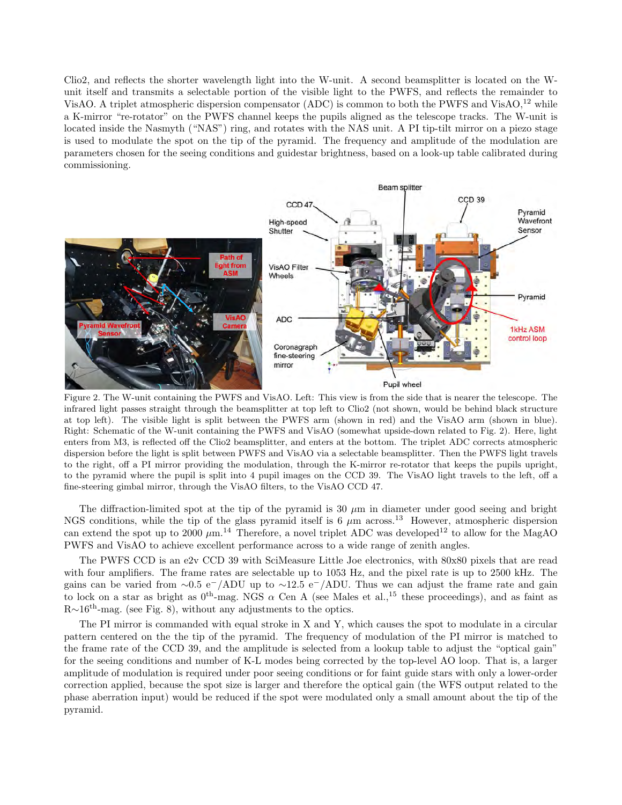Clio2, and reflects the shorter wavelength light into the W-unit. A second beamsplitter is located on the Wunit itself and transmits a selectable portion of the visible light to the PWFS, and reflects the remainder to VisAO. A triplet atmospheric dispersion compensator (ADC) is common to both the PWFS and VisAO,<sup>12</sup> while a K-mirror "re-rotator" on the PWFS channel keeps the pupils aligned as the telescope tracks. The W-unit is located inside the Nasmyth ("NAS") ring, and rotates with the NAS unit. A PI tip-tilt mirror on a piezo stage is used to modulate the spot on the tip of the pyramid. The frequency and amplitude of the modulation are parameters chosen for the seeing conditions and guidestar brightness, based on a look-up table calibrated during commissioning.



Figure 2. The W-unit containing the PWFS and VisAO. Left: This view is from the side that is nearer the telescope. The infrared light passes straight through the beamsplitter at top left to Clio2 (not shown, would be behind black structure at top left). The visible light is split between the PWFS arm (shown in red) and the VisAO arm (shown in blue). Right: Schematic of the W-unit containing the PWFS and VisAO (somewhat upside-down related to Fig. 2). Here, light enters from M3, is reflected off the Clio2 beamsplitter, and enters at the bottom. The triplet ADC corrects atmospheric dispersion before the light is split between PWFS and VisAO via a selectable beamsplitter. Then the PWFS light travels to the right, off a PI mirror providing the modulation, through the K-mirror re-rotator that keeps the pupils upright, to the pyramid where the pupil is split into 4 pupil images on the CCD 39. The VisAO light travels to the left, off a fine-steering gimbal mirror, through the VisAO filters, to the VisAO CCD 47.

The diffraction-limited spot at the tip of the pyramid is  $30 \mu m$  in diameter under good seeing and bright NGS conditions, while the tip of the glass pyramid itself is 6  $\mu$ m across.<sup>13</sup> However, atmospheric dispersion can extend the spot up to 2000  $\mu$ m.<sup>14</sup> Therefore, a novel triplet ADC was developed<sup>12</sup> to allow for the MagAO PWFS and VisAO to achieve excellent performance across to a wide range of zenith angles.

The PWFS CCD is an e2v CCD 39 with SciMeasure Little Joe electronics, with 80x80 pixels that are read with four amplifiers. The frame rates are selectable up to 1053 Hz, and the pixel rate is up to 2500 kHz. The gains can be varied from ∼0.5 e<sup>-</sup>/ADU up to ~12.5 e<sup>-</sup>/ADU. Thus we can adjust the frame rate and gain to lock on a star as bright as  $0^{th}$ -mag. NGS  $\alpha$  Cen A (see Males et al.,<sup>15</sup> these proceedings), and as faint as  $R\sim16^{th}$ -mag. (see Fig. 8), without any adjustments to the optics.

The PI mirror is commanded with equal stroke in X and Y, which causes the spot to modulate in a circular pattern centered on the the tip of the pyramid. The frequency of modulation of the PI mirror is matched to the frame rate of the CCD 39, and the amplitude is selected from a lookup table to adjust the "optical gain" for the seeing conditions and number of K-L modes being corrected by the top-level AO loop. That is, a larger amplitude of modulation is required under poor seeing conditions or for faint guide stars with only a lower-order correction applied, because the spot size is larger and therefore the optical gain (the WFS output related to the phase aberration input) would be reduced if the spot were modulated only a small amount about the tip of the pyramid.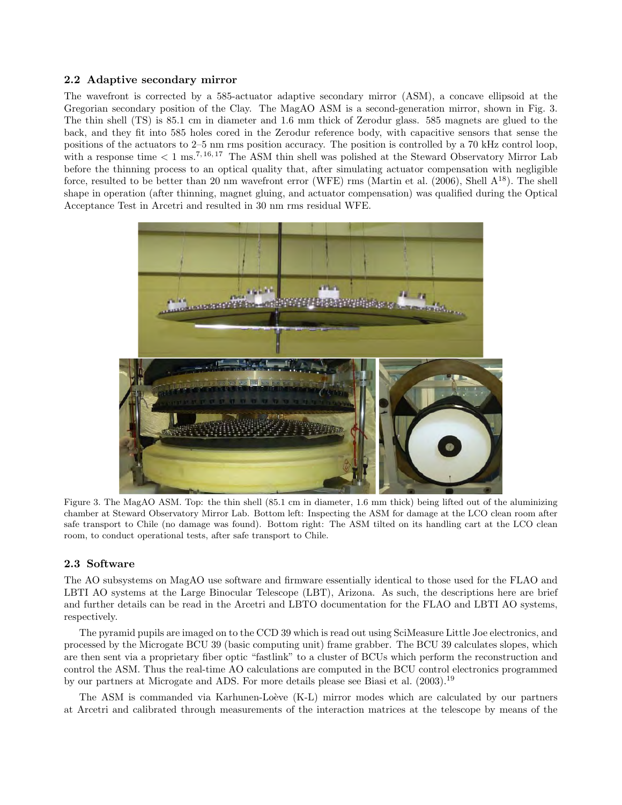### 2.2 Adaptive secondary mirror

The wavefront is corrected by a 585-actuator adaptive secondary mirror (ASM), a concave ellipsoid at the Gregorian secondary position of the Clay. The MagAO ASM is a second-generation mirror, shown in Fig. 3. The thin shell (TS) is 85.1 cm in diameter and 1.6 mm thick of Zerodur glass. 585 magnets are glued to the back, and they fit into 585 holes cored in the Zerodur reference body, with capacitive sensors that sense the positions of the actuators to 2–5 nm rms position accuracy. The position is controlled by a 70 kHz control loop, with a response time  $\lt 1$  ms.<sup>7, 16, 17</sup> The ASM thin shell was polished at the Steward Observatory Mirror Lab before the thinning process to an optical quality that, after simulating actuator compensation with negligible force, resulted to be better than 20 nm wavefront error (WFE) rms (Martin et al. (2006), Shell A<sup>18</sup>). The shell shape in operation (after thinning, magnet gluing, and actuator compensation) was qualified during the Optical Acceptance Test in Arcetri and resulted in 30 nm rms residual WFE.



Figure 3. The MagAO ASM. Top: the thin shell (85.1 cm in diameter, 1.6 mm thick) being lifted out of the aluminizing chamber at Steward Observatory Mirror Lab. Bottom left: Inspecting the ASM for damage at the LCO clean room after safe transport to Chile (no damage was found). Bottom right: The ASM tilted on its handling cart at the LCO clean room, to conduct operational tests, after safe transport to Chile.

### 2.3 Software

The AO subsystems on MagAO use software and firmware essentially identical to those used for the FLAO and LBTI AO systems at the Large Binocular Telescope (LBT), Arizona. As such, the descriptions here are brief and further details can be read in the Arcetri and LBTO documentation for the FLAO and LBTI AO systems, respectively.

The pyramid pupils are imaged on to the CCD 39 which is read out using SciMeasure Little Joe electronics, and processed by the Microgate BCU 39 (basic computing unit) frame grabber. The BCU 39 calculates slopes, which are then sent via a proprietary fiber optic "fastlink" to a cluster of BCUs which perform the reconstruction and control the ASM. Thus the real-time AO calculations are computed in the BCU control electronics programmed by our partners at Microgate and ADS. For more details please see Biasi et al. (2003).<sup>19</sup>

The ASM is commanded via Karhunen-Loève (K-L) mirror modes which are calculated by our partners at Arcetri and calibrated through measurements of the interaction matrices at the telescope by means of the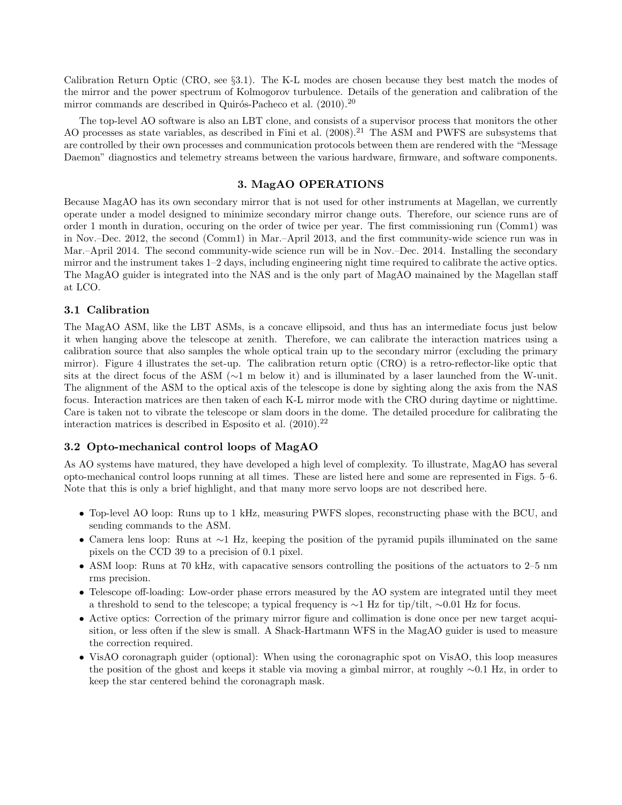Calibration Return Optic (CRO, see §3.1). The K-L modes are chosen because they best match the modes of the mirror and the power spectrum of Kolmogorov turbulence. Details of the generation and calibration of the mirror commands are described in Quirós-Pacheco et al. (2010).<sup>20</sup>

The top-level AO software is also an LBT clone, and consists of a supervisor process that monitors the other AO processes as state variables, as described in Fini et al. (2008).<sup>21</sup> The ASM and PWFS are subsystems that are controlled by their own processes and communication protocols between them are rendered with the "Message Daemon" diagnostics and telemetry streams between the various hardware, firmware, and software components.

### 3. MagAO OPERATIONS

Because MagAO has its own secondary mirror that is not used for other instruments at Magellan, we currently operate under a model designed to minimize secondary mirror change outs. Therefore, our science runs are of order 1 month in duration, occuring on the order of twice per year. The first commissioning run (Comm1) was in Nov.–Dec. 2012, the second (Comm1) in Mar.–April 2013, and the first community-wide science run was in Mar.–April 2014. The second community-wide science run will be in Nov.–Dec. 2014. Installing the secondary mirror and the instrument takes 1–2 days, including engineering night time required to calibrate the active optics. The MagAO guider is integrated into the NAS and is the only part of MagAO mainained by the Magellan staff at LCO.

### 3.1 Calibration

The MagAO ASM, like the LBT ASMs, is a concave ellipsoid, and thus has an intermediate focus just below it when hanging above the telescope at zenith. Therefore, we can calibrate the interaction matrices using a calibration source that also samples the whole optical train up to the secondary mirror (excluding the primary mirror). Figure 4 illustrates the set-up. The calibration return optic (CRO) is a retro-reflector-like optic that sits at the direct focus of the ASM (∼1 m below it) and is illuminated by a laser launched from the W-unit. The alignment of the ASM to the optical axis of the telescope is done by sighting along the axis from the NAS focus. Interaction matrices are then taken of each K-L mirror mode with the CRO during daytime or nighttime. Care is taken not to vibrate the telescope or slam doors in the dome. The detailed procedure for calibrating the interaction matrices is described in Esposito et al.  $(2010).^{22}$ 

# 3.2 Opto-mechanical control loops of MagAO

As AO systems have matured, they have developed a high level of complexity. To illustrate, MagAO has several opto-mechanical control loops running at all times. These are listed here and some are represented in Figs. 5–6. Note that this is only a brief highlight, and that many more servo loops are not described here.

- Top-level AO loop: Runs up to 1 kHz, measuring PWFS slopes, reconstructing phase with the BCU, and sending commands to the ASM.
- Camera lens loop: Runs at ∼1 Hz, keeping the position of the pyramid pupils illuminated on the same pixels on the CCD 39 to a precision of 0.1 pixel.
- ASM loop: Runs at 70 kHz, with capacative sensors controlling the positions of the actuators to 2–5 nm rms precision.
- Telescope off-loading: Low-order phase errors measured by the AO system are integrated until they meet a threshold to send to the telescope; a typical frequency is ∼1 Hz for tip/tilt, ∼0.01 Hz for focus.
- Active optics: Correction of the primary mirror figure and collimation is done once per new target acquisition, or less often if the slew is small. A Shack-Hartmann WFS in the MagAO guider is used to measure the correction required.
- VisAO coronagraph guider (optional): When using the coronagraphic spot on VisAO, this loop measures the position of the ghost and keeps it stable via moving a gimbal mirror, at roughly ∼0.1 Hz, in order to keep the star centered behind the coronagraph mask.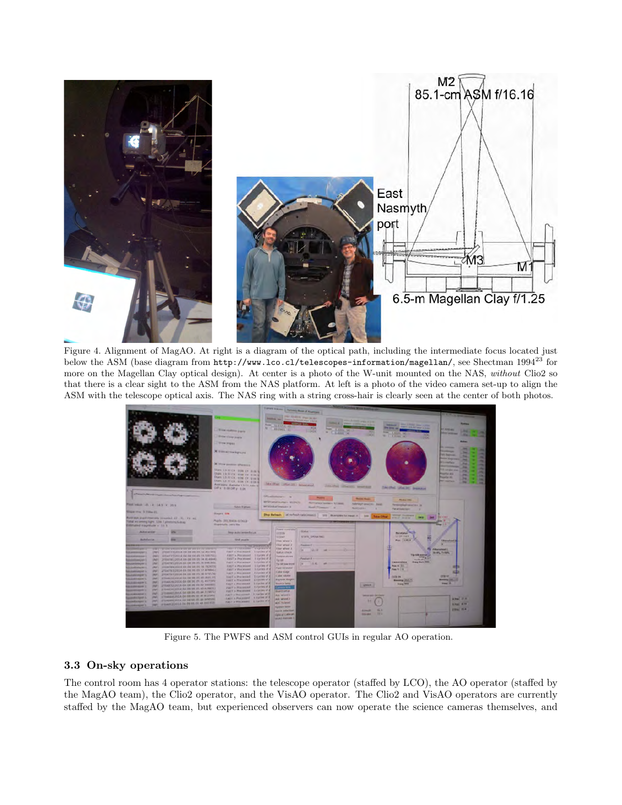

Figure 4. Alignment of MagAO. At right is a diagram of the optical path, including the intermediate focus located just below the ASM (base diagram from http://www.lco.cl/telescopes-information/magellan/, see Shectman 1994<sup>23</sup> for more on the Magellan Clay optical design). At center is a photo of the W-unit mounted on the NAS, without Clio2 so that there is a clear sight to the ASM from the NAS platform. At left is a photo of the video camera set-up to align the ASM with the telescope optical axis. The NAS ring with a string cross-hair is clearly seen at the center of both photos.

|                                                |                                                                                            |                                                                           | over your Division of States                |                                | NAME AND POST OFFICE ADDRESS OF TAXABLE PARTY.                                   |                                                                      |                                                            |
|------------------------------------------------|--------------------------------------------------------------------------------------------|---------------------------------------------------------------------------|---------------------------------------------|--------------------------------|----------------------------------------------------------------------------------|----------------------------------------------------------------------|------------------------------------------------------------|
|                                                |                                                                                            |                                                                           |                                             | I am think markets.            |                                                                                  |                                                                      |                                                            |
|                                                |                                                                                            |                                                                           | <b>College Street</b>                       | <b>Come to Secretary Lives</b> | and I had you think                                                              |                                                                      |                                                            |
|                                                |                                                                                            |                                                                           | <b>Room, MALCON AV.</b>                     |                                | <b>Committee Books, Street, Law Committee Street &amp; Street</b>                | <b>Delaware - The Little Way Little</b>                              |                                                            |
|                                                |                                                                                            | . View realizes argilla                                                   | <b>All Conditions</b>                       | $-100$<br>$-1424$              | -<br>Anyon Photo                                                                 | <b>CONTRACTOR AND</b><br><b>Die Street van I</b><br><b>SIA</b><br>ــ | <b>Art Aves Bldg.</b>                                      |
|                                                |                                                                                            | The Corp. parts                                                           |                                             |                                | <b>M. C. Lewis 141</b>                                                           | <b>SALES MA</b><br><b>HATAL</b><br><b>W. L. KISHLIK</b>              | <b>Service State</b>                                       |
|                                                |                                                                                            |                                                                           |                                             |                                |                                                                                  |                                                                      | $-1414$                                                    |
|                                                |                                                                                            | <b>Continued</b>                                                          |                                             |                                |                                                                                  |                                                                      | <b><i>Children</i></b>                                     |
|                                                |                                                                                            | X Smatteripum                                                             |                                             |                                |                                                                                  |                                                                      | <b>September</b>                                           |
|                                                |                                                                                            |                                                                           |                                             |                                |                                                                                  |                                                                      | <b>WE Reported</b>                                         |
|                                                |                                                                                            |                                                                           |                                             |                                |                                                                                  |                                                                      | <b>Purchase Kang room of</b><br>-                          |
|                                                |                                                                                            | X How pastes phenoxy                                                      |                                             |                                |                                                                                  |                                                                      | <b>Contractor</b><br><br>۰                                 |
|                                                |                                                                                            | tion D FECK 108 CF A IN \$                                                |                                             |                                |                                                                                  |                                                                      | -<br><b>Christmas</b><br>m                                 |
|                                                |                                                                                            | Dark 13,77 Ck 8 to Cr. 8 to 6                                             |                                             |                                |                                                                                  |                                                                      | <b>Program and in</b><br>                                  |
|                                                |                                                                                            | Duen: 13 77 CK 9 08 CY 8 to 8<br>Dum, 1.3 77 CH 5.06 CF 6 18 8            |                                             |                                |                                                                                  |                                                                      | <b>Program Ad</b><br>m<br>-<br><b>State Street, Square</b> |
|                                                |                                                                                            | Averages: Alenator 1.1 T7, size of                                        | Lake (Wash, Listhon City.) Among stored     |                                |                                                                                  |                                                                      | -                                                          |
|                                                |                                                                                            | <b>DATA: B ON DIR y: ILDS</b>                                             |                                             |                                | June of the United States Services                                               | <b>Take Ohmi, Johns Dr., Drawskiel</b>                               |                                                            |
|                                                | and the column resource in the column                                                      |                                                                           |                                             |                                |                                                                                  |                                                                      |                                                            |
|                                                |                                                                                            |                                                                           | <b>Mexicanon X</b>                          |                                | <b>Married Wooder</b>                                                            | <b>Michael Trees</b>                                                 |                                                            |
| Paul value (21 - 8 14 5 V 20 V                 |                                                                                            |                                                                           | WESTMINGTOWN-VERSEX                         | Northernon Solders 4759441     | SaleTonyPropriet/Child, 25x433                                                   | <b>September 2010</b>                                                |                                                            |
|                                                |                                                                                            | <b>News Names</b>                                                         | <b>WESTERN TOWART I</b>                     | <b>SunFLTENBURE II</b>         | <b>Numbers</b>                                                                   | <b>Facercularized</b>                                                |                                                            |
| Wege row 5.538m (E)                            |                                                                                            | <b>Bases Inc.</b>                                                         |                                             |                                |                                                                                  |                                                                      |                                                            |
|                                                | Market skips, point treasmants (Acoustica), N.Y. ( FL / FL / NL)                           |                                                                           |                                             |                                | Ship Refereb.   of reflect concerned)   1991 Womprey Schwart = 1991   New Orlean | <b>Real Product</b><br><b>WELL BUILD</b>                             | -                                                          |
| Total in orming logric. LTA 7 photons/suitures |                                                                                            | Pupils: 201, Bratist 43 box in<br><b>Required's long for</b>              |                                             |                                |                                                                                  |                                                                      |                                                            |
| Editorialisti magnitude w 18.3                 |                                                                                            |                                                                           |                                             |                                |                                                                                  |                                                                      |                                                            |
| <b>Addressed</b>                               |                                                                                            | ling auto reterints.                                                      | <b>Power Controller</b><br><b>COSTA</b>     | <b>Mindsall</b>                |                                                                                  | <b>Randaley The R</b>                                                |                                                            |
|                                                |                                                                                            |                                                                           | <b>COMP</b>                                 | <b><i>NTATE OFFICERS</i></b>   |                                                                                  | <b>CENTRAL</b>                                                       |                                                            |
| <b>Buildings</b>                               |                                                                                            | Shift pupils:                                                             | Filter wheel 5                              |                                |                                                                                  | Paul 136.8                                                           | œ<br><b>Filterwheel 3</b>                                  |
|                                                | THE V. SECOND VALUES IN THE 29 YEAR OLD FIRE WAS CITED.                                    | <b>A MARINEZIA</b><br><b>THE PERSONAL PROPERTY OF A PERSONAL PROPERTY</b> | Filter wheel 2<br>Filter sellent 3          | Paradoxe Vienes                |                                                                                  |                                                                      |                                                            |
| <b>NAMESHOW</b>                                | (Apr) 3704 Y782014 04 88 96 05 12 451 550                                                  | FAST a Processed 1 cycles of it                                           | <b>MANA (Reck)</b>                          |                                |                                                                                  |                                                                      | <b>Filling College St.</b><br><b>BARS, TASHS</b>           |
| <b><i><u>CAMERAGE</u></i></b>                  | INFO 2704777/2014 04:04 06:05 13 5 67011                                                   | FREY is Processing Liquides of 2                                          | <b>Compassions</b>                          |                                |                                                                                  |                                                                      | The Kilk service.<br><b>APR &amp; 1.5</b>                  |
| <b><i><u>ANTINGER</u></i></b>                  | ENRY 2704 FRI (2014 NA 28 IN DI 34 ST4540)                                                 | HAST a Processional A startles at 2<br>FAST is Proceeded 1 Cycles of 2    | <b>Faced</b>                                | Pendan X -                     |                                                                                  | <b>Camaraiana</b>                                                    | <b>Suite of</b><br>fires that this                         |
| <b><i><u>STORES BOOTS</u></i></b>              | (NET 2704785) 2014-04-08 16:25:35 ENLINO)<br>INFO 2724 FEM PER POLK ON DE DE 25 34 PADENTE | FAST in Phispinismit 1. cyclins of 2                                      | To IR low level                             | ×                              | THAT WE COME THE TANK OF                                                         | <b>Post N. L.L.</b>                                                  |                                                            |
| <b>AutoRate Print</b>                          | INFL 2704793(2014-04 DK 26-25 37.876941)                                                   | FAXY a Processed 3 cycles of \$                                           | <b>Fuld Incover</b>                         |                                |                                                                                  | Fass V: F&                                                           |                                                            |
| <b>BURNER COMPANY</b>                          | (NP) 27047912014 84 06 16 15 16 97414)                                                     | <b>TASTA PROCESSES</b> & Cycles of &                                      | Culto state                                 |                                |                                                                                  |                                                                      |                                                            |
| <b><i><u>PORTHER</u></i></b><br><b>BARTESY</b> | (NE) 270-8524 (231.4 SA OR 98 US 49 MAIL17)                                                | <b>TALLA Primaries 1 Cycles of 2</b>                                      | Cube Habite                                 |                                |                                                                                  | <b>Kids In</b>                                                       | <b>EVID 41</b>                                             |
| <b>SAMANDAL</b>                                | IMF) 2/154826(2014-64 OK 34 ON 45 447345)                                                  | E lo celero 2 Santrante a Takan                                           | <b>Royaude Keppin</b><br><b>NAVEW LANGE</b> |                                |                                                                                  | Kening 253.7                                                         | <b>Rental Marshall</b><br>Time 12                          |
| <b><i><u>ALCOHOL: N</u></i></b>                | INFL 2754X32(2014-04 OR 24 th 42 Senata)                                                   | FAST & PISCIELLER 1 Virginia of 2<br>FAIT > Processed 1 cycles of 2       |                                             |                                | <b>USA</b>                                                                       | Frank Will                                                           |                                                            |
| <b>LONGITA COMPANY</b>                         | INFL. 270440403514-04-08-94 etc.43 europe).                                                | <b>ART A POURSES &amp; Cycles of &amp;</b>                                | <b>Buent Leties</b>                         |                                |                                                                                  |                                                                      |                                                            |
| <b><i><u>CAMBRONT</u></i></b>                  | INFL. 2-10404-020-A Dd 698 24.60; as 3 2 W/12                                              | FAIT a Processor: 1 varies of 21                                          | Ads wheel I.                                |                                |                                                                                  | <b>West met derritere</b>                                            |                                                            |
| <b>CONTRACTOR</b>                              | INC. I THANK WEAPER IN IN ITS RESIDENCE.<br>ON! ITSAERICALS IN HER IS 20 YOURS             | <b>EAST = Processed</b> A system of it                                    | Adv several 2                               |                                |                                                                                  |                                                                      | <b>KING 318</b>                                            |
| <b><i><u>ANGLES OF A</u></i></b>               | THE PERSON NAMED IN COLUMN 2 IS NOT THE OWNER.                                             | FAST a RECEIVED 1 LEWIS OF A                                              | ADC hulered                                 |                                |                                                                                  |                                                                      | <b>N Past. A 18</b>                                        |
| <b><i><u>Sunday Corporation</u></i></b>        |                                                                                            |                                                                           | <b>Kystein beide</b>                        |                                |                                                                                  |                                                                      |                                                            |
|                                                |                                                                                            |                                                                           | <b>Guila Anticheti</b>                      |                                | Almuth 1                                                                         |                                                                      | 23m HA                                                     |
|                                                |                                                                                            |                                                                           | Optical Labsas,                             |                                | <b>Stirakt</b>                                                                   | 10.2                                                                 |                                                            |
|                                                |                                                                                            |                                                                           | <b>MAD Render I</b>                         |                                |                                                                                  |                                                                      |                                                            |
|                                                |                                                                                            |                                                                           |                                             |                                |                                                                                  |                                                                      |                                                            |

Figure 5. The PWFS and ASM control GUIs in regular AO operation.

# 3.3 On-sky operations

The control room has 4 operator stations: the telescope operator (staffed by LCO), the AO operator (staffed by the MagAO team), the Clio2 operator, and the VisAO operator. The Clio2 and VisAO operators are currently staffed by the MagAO team, but experienced observers can now operate the science cameras themselves, and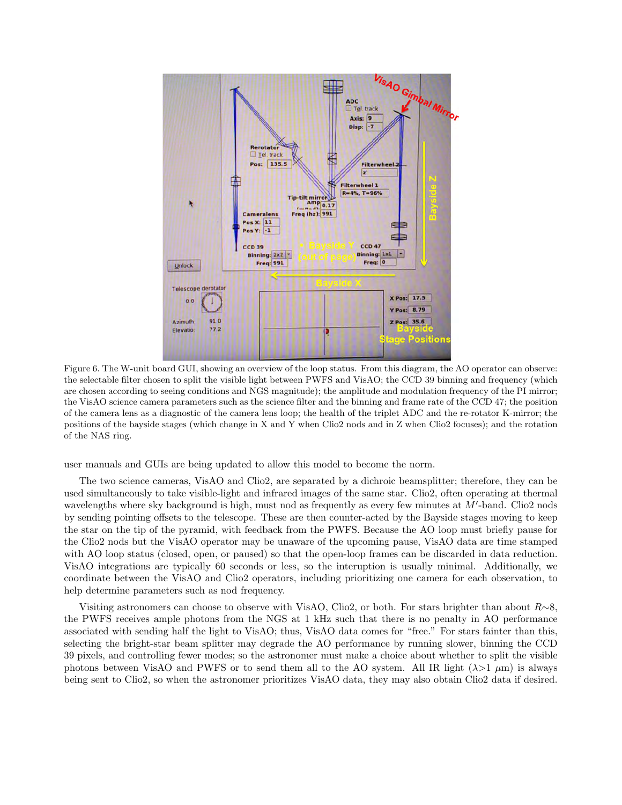

Figure 6. The W-unit board GUI, showing an overview of the loop status. From this diagram, the AO operator can observe: the selectable filter chosen to split the visible light between PWFS and VisAO; the CCD 39 binning and frequency (which are chosen according to seeing conditions and NGS magnitude); the amplitude and modulation frequency of the PI mirror; the VisAO science camera parameters such as the science filter and the binning and frame rate of the CCD 47; the position of the camera lens as a diagnostic of the camera lens loop; the health of the triplet ADC and the re-rotator K-mirror; the positions of the bayside stages (which change in X and Y when Clio2 nods and in Z when Clio2 focuses); and the rotation of the NAS ring.

user manuals and GUIs are being updated to allow this model to become the norm.

The two science cameras, VisAO and Clio2, are separated by a dichroic beamsplitter; therefore, they can be used simultaneously to take visible-light and infrared images of the same star. Clio2, often operating at thermal wavelengths where sky background is high, must nod as frequently as every few minutes at  $M'$ -band. Clio2 nods by sending pointing offsets to the telescope. These are then counter-acted by the Bayside stages moving to keep the star on the tip of the pyramid, with feedback from the PWFS. Because the AO loop must briefly pause for the Clio2 nods but the VisAO operator may be unaware of the upcoming pause, VisAO data are time stamped with AO loop status (closed, open, or paused) so that the open-loop frames can be discarded in data reduction. VisAO integrations are typically 60 seconds or less, so the interuption is usually minimal. Additionally, we coordinate between the VisAO and Clio2 operators, including prioritizing one camera for each observation, to help determine parameters such as nod frequency.

Visiting astronomers can choose to observe with VisAO, Clio2, or both. For stars brighter than about R∼8, the PWFS receives ample photons from the NGS at 1 kHz such that there is no penalty in AO performance associated with sending half the light to VisAO; thus, VisAO data comes for "free." For stars fainter than this, selecting the bright-star beam splitter may degrade the AO performance by running slower, binning the CCD 39 pixels, and controlling fewer modes; so the astronomer must make a choice about whether to split the visible photons between VisAO and PWFS or to send them all to the AO system. All IR light  $(\lambda > 1 \mu m)$  is always being sent to Clio2, so when the astronomer prioritizes VisAO data, they may also obtain Clio2 data if desired.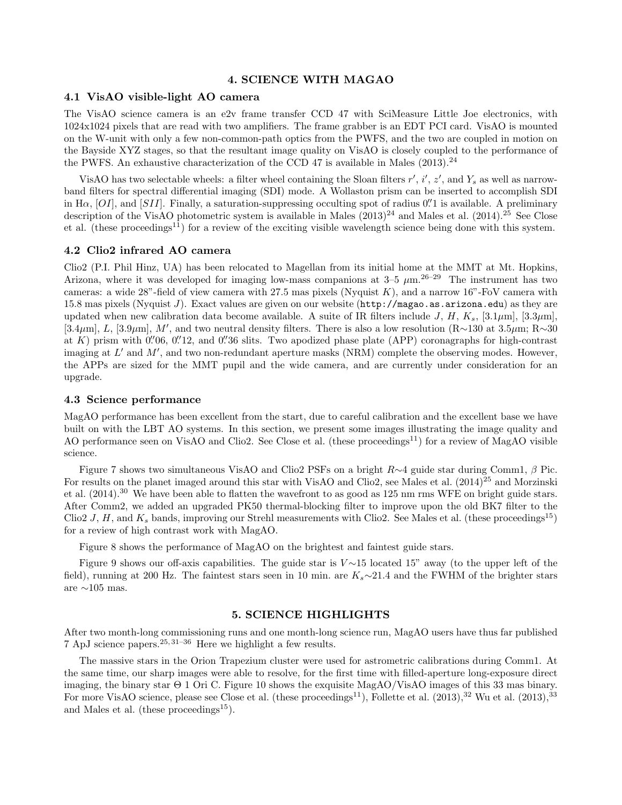### 4. SCIENCE WITH MAGAO

### 4.1 VisAO visible-light AO camera

The VisAO science camera is an e2v frame transfer CCD 47 with SciMeasure Little Joe electronics, with 1024x1024 pixels that are read with two amplifiers. The frame grabber is an EDT PCI card. VisAO is mounted on the W-unit with only a few non-common-path optics from the PWFS, and the two are coupled in motion on the Bayside XYZ stages, so that the resultant image quality on VisAO is closely coupled to the performance of the PWFS. An exhaustive characterization of the CCD 47 is available in Males (2013).<sup>24</sup>

VisAO has two selectable wheels: a filter wheel containing the Sloan filters  $r', i', z'$ , and  $Y_s$  as well as narrowband filters for spectral differential imaging (SDI) mode. A Wollaston prism can be inserted to accomplish SDI in H $\alpha$ , [OI], and [SII]. Finally, a saturation-suppressing occulting spot of radius 0. I is available. A preliminary description of the VisAO photometric system is available in Males  $(2013)^{24}$  and Males et al.  $(2014).^{25}$  See Close et al. (these proceedings<sup>11</sup>) for a review of the exciting visible wavelength science being done with this system.

### 4.2 Clio2 infrared AO camera

Clio2 (P.I. Phil Hinz, UA) has been relocated to Magellan from its initial home at the MMT at Mt. Hopkins, Arizona, where it was developed for imaging low-mass companions at  $3-5 \mu m^{26-29}$  The instrument has two cameras: a wide 28"-field of view camera with 27.5 mas pixels (Nyquist K), and a narrow 16"-FoV camera with 15.8 mas pixels (Nyquist J). Exact values are given on our website (http://magao.as.arizona.edu) as they are updated when new calibration data become available. A suite of IR filters include J, H,  $K_s$ , [3.1 $\mu$ m], [3.3 $\mu$ m], [3.4 $\mu$ m], L, [3.9 $\mu$ m], M', and two neutral density filters. There is also a low resolution (R∼130 at 3.5 $\mu$ m; R∼30 at K) prism with  $0\rlap.{''}06$ ,  $0\rlap.{''}12$ , and  $0\rlap.{''}36$  slits. Two apodized phase plate (APP) coronagraphs for high-contrast imaging at  $L'$  and  $M'$ , and two non-redundant aperture masks (NRM) complete the observing modes. However, the APPs are sized for the MMT pupil and the wide camera, and are currently under consideration for an upgrade.

### 4.3 Science performance

MagAO performance has been excellent from the start, due to careful calibration and the excellent base we have built on with the LBT AO systems. In this section, we present some images illustrating the image quality and AO performance seen on VisAO and Clio2. See Close et al. (these proceedings<sup>11</sup>) for a review of MagAO visible science.

Figure 7 shows two simultaneous VisAO and Clio2 PSFs on a bright  $R∼4$  guide star during Comm1,  $β$  Pic. For results on the planet imaged around this star with VisAO and Clio2, see Males et al.  $(2014)^{25}$  and Morzinski et al.  $(2014).^{30}$  We have been able to flatten the wavefront to as good as 125 nm rms WFE on bright guide stars. After Comm2, we added an upgraded PK50 thermal-blocking filter to improve upon the old BK7 filter to the Clio2 J, H, and  $K_s$  bands, improving our Strehl measurements with Clio2. See Males et al. (these proceedings<sup>15</sup>) for a review of high contrast work with MagAO.

Figure 8 shows the performance of MagAO on the brightest and faintest guide stars.

Figure 9 shows our off-axis capabilities. The guide star is V ∼15 located 15" away (to the upper left of the field), running at 200 Hz. The faintest stars seen in 10 min. are  $K_s \sim 21.4$  and the FWHM of the brighter stars are ∼105 mas.

### 5. SCIENCE HIGHLIGHTS

After two month-long commissioning runs and one month-long science run, MagAO users have thus far published 7 ApJ science papers.25, 31–36 Here we highlight a few results.

The massive stars in the Orion Trapezium cluster were used for astrometric calibrations during Comm1. At the same time, our sharp images were able to resolve, for the first time with filled-aperture long-exposure direct imaging, the binary star Θ 1 Ori C. Figure 10 shows the exquisite MagAO/VisAO images of this 33 mas binary. For more VisAO science, please see Close et al. (these proceedings<sup>11</sup>), Follette et al.  $(2013),^{32}$  Wu et al.  $(2013),^{33}$ and Males et al. (these proceedings<sup>15</sup>).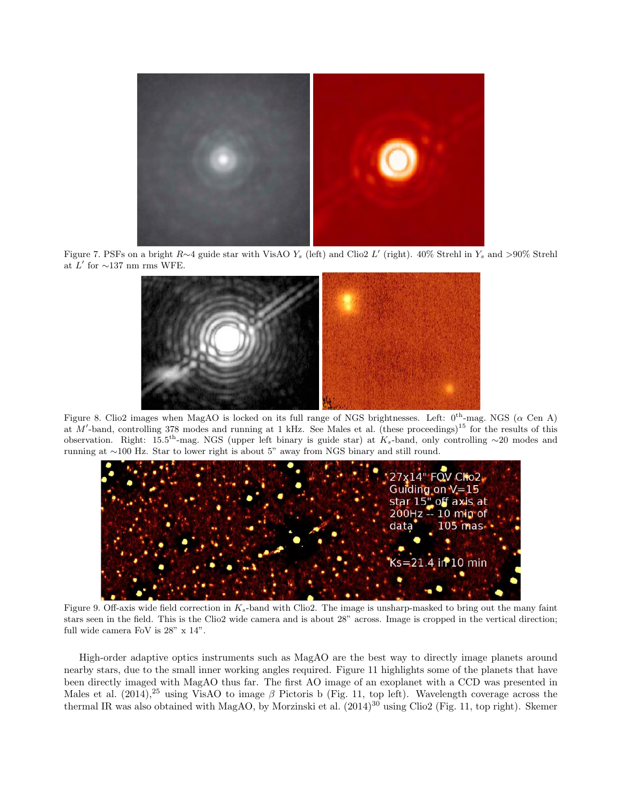

Figure 7. PSFs on a bright  $R\sim4$  guide star with VisAO Y<sub>s</sub> (left) and Clio2 L' (right). 40% Strehl in Y<sub>s</sub> and >90% Strehl at  $L'$  for  $\sim$ 137 nm rms WFE.



Figure 8. Clio2 images when MagAO is locked on its full range of NGS brightnesses. Left:  $0^{th}$ -mag. NGS ( $\alpha$  Cen A) at M'-band, controlling 378 modes and running at 1 kHz. See Males et al. (these proceedings)<sup>15</sup> for the results of this observation. Right: 15.5th-mag. NGS (upper left binary is guide star) at Ks-band, only controlling ∼20 modes and running at ∼100 Hz. Star to lower right is about 5" away from NGS binary and still round.



Figure 9. Off-axis wide field correction in  $K_s$ -band with Clio2. The image is unsharp-masked to bring out the many faint stars seen in the field. This is the Clio2 wide camera and is about 28" across. Image is cropped in the vertical direction; full wide camera FoV is 28" x 14".

High-order adaptive optics instruments such as MagAO are the best way to directly image planets around nearby stars, due to the small inner working angles required. Figure 11 highlights some of the planets that have been directly imaged with MagAO thus far. The first AO image of an exoplanet with a CCD was presented in Males et al.  $(2014),^{25}$  using VisAO to image  $\beta$  Pictoris b (Fig. 11, top left). Wavelength coverage across the thermal IR was also obtained with MagAO, by Morzinski et al.  $(2014)^{30}$  using Clio2 (Fig. 11, top right). Skemer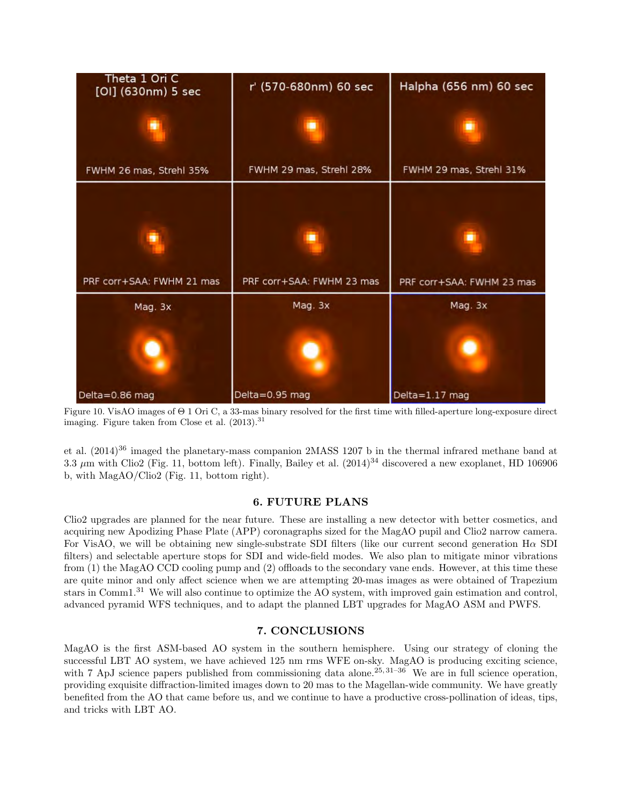

Figure 10. VisAO images of Θ 1 Ori C, a 33-mas binary resolved for the first time with filled-aperture long-exposure direct imaging. Figure taken from Close et al.  $(2013).$ <sup>31</sup>

et al. (2014)<sup>36</sup> imaged the planetary-mass companion 2MASS 1207 b in the thermal infrared methane band at 3.3 µm with Clio2 (Fig. 11, bottom left). Finally, Bailey et al. (2014)<sup>34</sup> discovered a new exoplanet, HD 106906 b, with MagAO/Clio2 (Fig. 11, bottom right).

### 6. FUTURE PLANS

Clio2 upgrades are planned for the near future. These are installing a new detector with better cosmetics, and acquiring new Apodizing Phase Plate (APP) coronagraphs sized for the MagAO pupil and Clio2 narrow camera. For VisAO, we will be obtaining new single-substrate SDI filters (like our current second generation  $H\alpha$  SDI filters) and selectable aperture stops for SDI and wide-field modes. We also plan to mitigate minor vibrations from (1) the MagAO CCD cooling pump and (2) offloads to the secondary vane ends. However, at this time these are quite minor and only affect science when we are attempting 20-mas images as were obtained of Trapezium stars in Comm1.<sup>31</sup> We will also continue to optimize the AO system, with improved gain estimation and control, advanced pyramid WFS techniques, and to adapt the planned LBT upgrades for MagAO ASM and PWFS.

# 7. CONCLUSIONS

MagAO is the first ASM-based AO system in the southern hemisphere. Using our strategy of cloning the successful LBT AO system, we have achieved 125 nm rms WFE on-sky. MagAO is producing exciting science, with 7 ApJ science papers published from commissioning data alone.<sup>25, 31–36</sup> We are in full science operation, providing exquisite diffraction-limited images down to 20 mas to the Magellan-wide community. We have greatly benefited from the AO that came before us, and we continue to have a productive cross-pollination of ideas, tips, and tricks with LBT AO.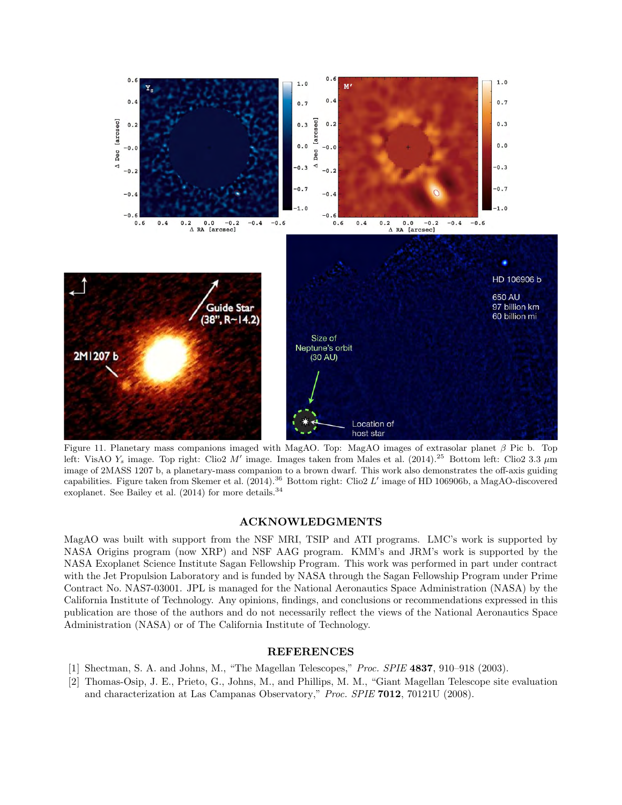

Figure 11. Planetary mass companions imaged with MagAO. Top: MagAO images of extrasolar planet  $\beta$  Pic b. Top left: VisAO Y<sub>s</sub> image. Top right: Clio2 M' image. Images taken from Males et al. (2014).<sup>25</sup> Bottom left: Clio2 3.3  $\mu$ m image of 2MASS 1207 b, a planetary-mass companion to a brown dwarf. This work also demonstrates the off-axis guiding capabilities. Figure taken from Skemer et al.  $(2014)$ .<sup>36</sup> Bottom right: Clio2 L' image of HD 106906b, a MagAO-discovered exoplanet. See Bailey et al. (2014) for more details.<sup>34</sup>

### ACKNOWLEDGMENTS

MagAO was built with support from the NSF MRI, TSIP and ATI programs. LMC's work is supported by NASA Origins program (now XRP) and NSF AAG program. KMM's and JRM's work is supported by the NASA Exoplanet Science Institute Sagan Fellowship Program. This work was performed in part under contract with the Jet Propulsion Laboratory and is funded by NASA through the Sagan Fellowship Program under Prime Contract No. NAS7-03001. JPL is managed for the National Aeronautics Space Administration (NASA) by the California Institute of Technology. Any opinions, findings, and conclusions or recommendations expressed in this publication are those of the authors and do not necessarily reflect the views of the National Aeronautics Space Administration (NASA) or of The California Institute of Technology.

# REFERENCES

- [1] Shectman, S. A. and Johns, M., "The Magellan Telescopes," Proc. SPIE 4837, 910–918 (2003).
- [2] Thomas-Osip, J. E., Prieto, G., Johns, M., and Phillips, M. M., "Giant Magellan Telescope site evaluation and characterization at Las Campanas Observatory," Proc. SPIE 7012, 70121U (2008).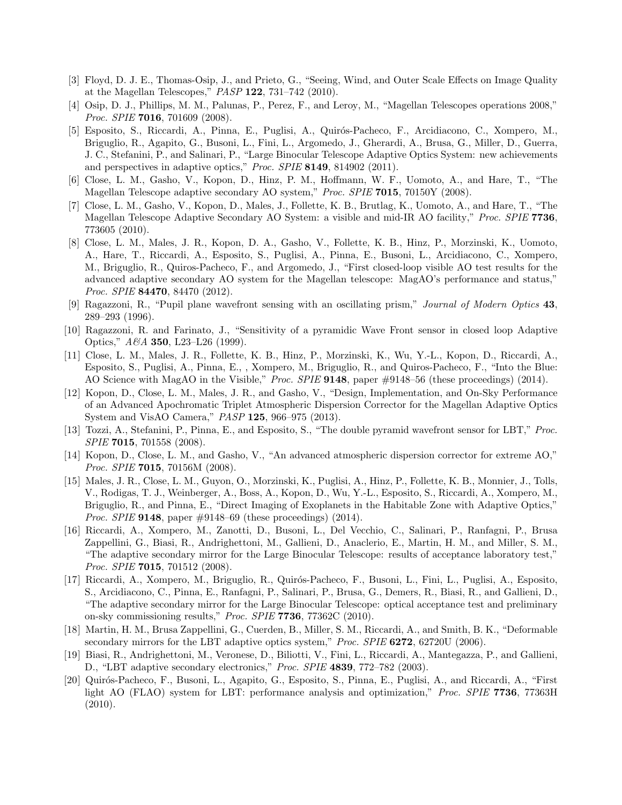- [3] Floyd, D. J. E., Thomas-Osip, J., and Prieto, G., "Seeing, Wind, and Outer Scale Effects on Image Quality at the Magellan Telescopes," PASP 122, 731–742 (2010).
- [4] Osip, D. J., Phillips, M. M., Palunas, P., Perez, F., and Leroy, M., "Magellan Telescopes operations 2008," Proc. SPIE 7016, 701609 (2008).
- [5] Esposito, S., Riccardi, A., Pinna, E., Puglisi, A., Quirós-Pacheco, F., Arcidiacono, C., Xompero, M., Briguglio, R., Agapito, G., Busoni, L., Fini, L., Argomedo, J., Gherardi, A., Brusa, G., Miller, D., Guerra, J. C., Stefanini, P., and Salinari, P., "Large Binocular Telescope Adaptive Optics System: new achievements and perspectives in adaptive optics," Proc. SPIE 8149, 814902 (2011).
- [6] Close, L. M., Gasho, V., Kopon, D., Hinz, P. M., Hoffmann, W. F., Uomoto, A., and Hare, T., "The Magellan Telescope adaptive secondary AO system," *Proc. SPIE* 7015, 70150Y (2008).
- [7] Close, L. M., Gasho, V., Kopon, D., Males, J., Follette, K. B., Brutlag, K., Uomoto, A., and Hare, T., "The Magellan Telescope Adaptive Secondary AO System: a visible and mid-IR AO facility," Proc. SPIE 7736, 773605 (2010).
- [8] Close, L. M., Males, J. R., Kopon, D. A., Gasho, V., Follette, K. B., Hinz, P., Morzinski, K., Uomoto, A., Hare, T., Riccardi, A., Esposito, S., Puglisi, A., Pinna, E., Busoni, L., Arcidiacono, C., Xompero, M., Briguglio, R., Quiros-Pacheco, F., and Argomedo, J., "First closed-loop visible AO test results for the advanced adaptive secondary AO system for the Magellan telescope: MagAO's performance and status," Proc. SPIE 84470, 84470 (2012).
- [9] Ragazzoni, R., "Pupil plane wavefront sensing with an oscillating prism," Journal of Modern Optics 43, 289–293 (1996).
- [10] Ragazzoni, R. and Farinato, J., "Sensitivity of a pyramidic Wave Front sensor in closed loop Adaptive Optics," A&A 350, L23–L26 (1999).
- [11] Close, L. M., Males, J. R., Follette, K. B., Hinz, P., Morzinski, K., Wu, Y.-L., Kopon, D., Riccardi, A., Esposito, S., Puglisi, A., Pinna, E., , Xompero, M., Briguglio, R., and Quiros-Pacheco, F., "Into the Blue: AO Science with MagAO in the Visible," Proc. SPIE 9148, paper #9148–56 (these proceedings) (2014).
- [12] Kopon, D., Close, L. M., Males, J. R., and Gasho, V., "Design, Implementation, and On-Sky Performance of an Advanced Apochromatic Triplet Atmospheric Dispersion Corrector for the Magellan Adaptive Optics System and VisAO Camera," PASP 125, 966–975 (2013).
- [13] Tozzi, A., Stefanini, P., Pinna, E., and Esposito, S., "The double pyramid wavefront sensor for LBT," Proc. SPIE **7015**, 701558 (2008).
- [14] Kopon, D., Close, L. M., and Gasho, V., "An advanced atmospheric dispersion corrector for extreme AO," Proc. SPIE 7015, 70156M (2008).
- [15] Males, J. R., Close, L. M., Guyon, O., Morzinski, K., Puglisi, A., Hinz, P., Follette, K. B., Monnier, J., Tolls, V., Rodigas, T. J., Weinberger, A., Boss, A., Kopon, D., Wu, Y.-L., Esposito, S., Riccardi, A., Xompero, M., Briguglio, R., and Pinna, E., "Direct Imaging of Exoplanets in the Habitable Zone with Adaptive Optics," *Proc. SPIE* **9148**, paper  $\#9148-69$  (these proceedings) (2014).
- [16] Riccardi, A., Xompero, M., Zanotti, D., Busoni, L., Del Vecchio, C., Salinari, P., Ranfagni, P., Brusa Zappellini, G., Biasi, R., Andrighettoni, M., Gallieni, D., Anaclerio, E., Martin, H. M., and Miller, S. M., "The adaptive secondary mirror for the Large Binocular Telescope: results of acceptance laboratory test," Proc. SPIE **7015**, 701512 (2008).
- [17] Riccardi, A., Xompero, M., Briguglio, R., Quirós-Pacheco, F., Busoni, L., Fini, L., Puglisi, A., Esposito, S., Arcidiacono, C., Pinna, E., Ranfagni, P., Salinari, P., Brusa, G., Demers, R., Biasi, R., and Gallieni, D., "The adaptive secondary mirror for the Large Binocular Telescope: optical acceptance test and preliminary on-sky commissioning results," *Proc. SPIE* 7736, 77362C (2010).
- [18] Martin, H. M., Brusa Zappellini, G., Cuerden, B., Miller, S. M., Riccardi, A., and Smith, B. K., "Deformable secondary mirrors for the LBT adaptive optics system," Proc. SPIE 6272, 62720U (2006).
- [19] Biasi, R., Andrighettoni, M., Veronese, D., Biliotti, V., Fini, L., Riccardi, A., Mantegazza, P., and Gallieni, D., "LBT adaptive secondary electronics," Proc. SPIE 4839, 772-782 (2003).
- [20] Quirós-Pacheco, F., Busoni, L., Agapito, G., Esposito, S., Pinna, E., Puglisi, A., and Riccardi, A., "First light AO (FLAO) system for LBT: performance analysis and optimization," Proc. SPIE 7736, 77363H (2010).